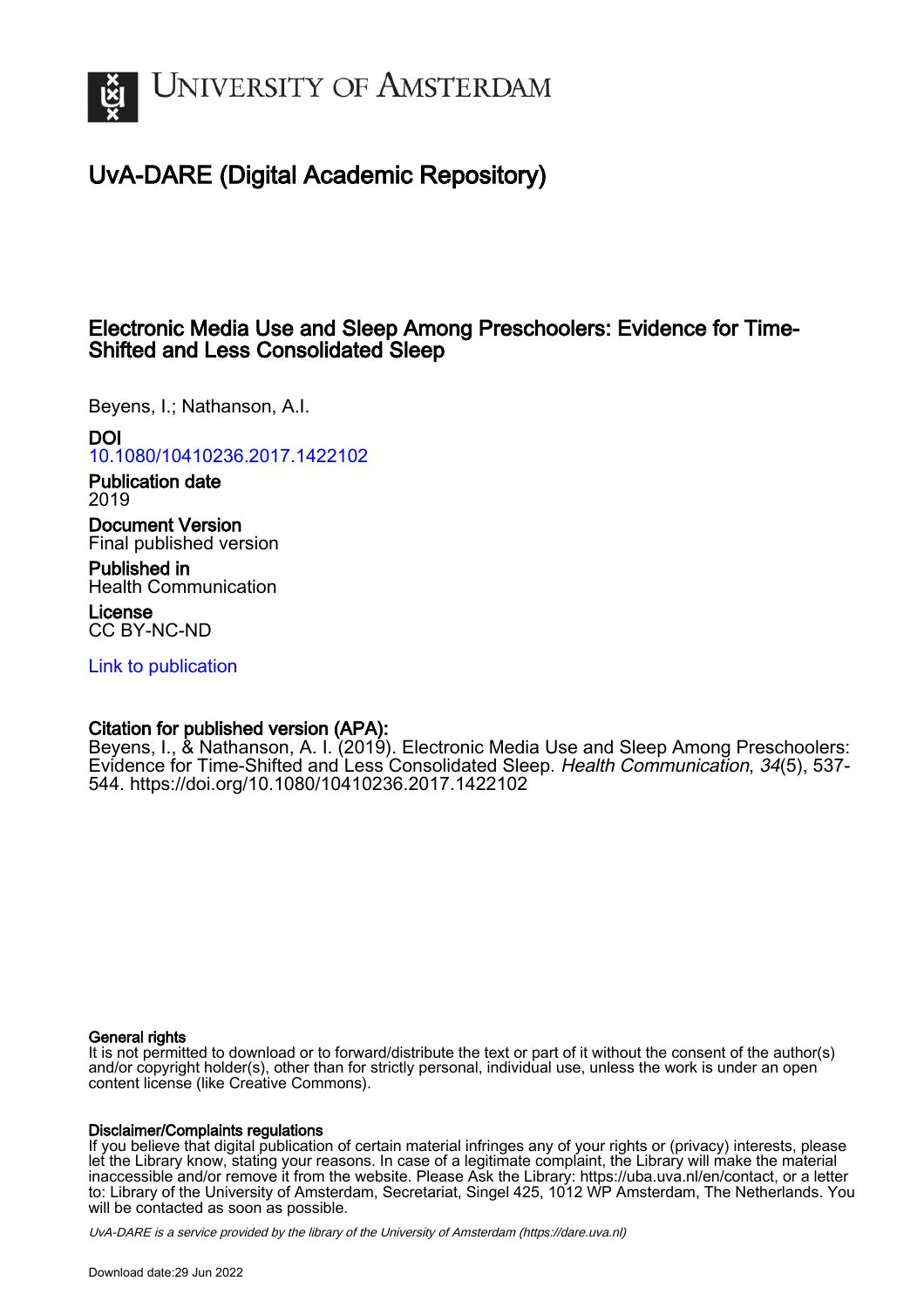

# UvA-DARE (Digital Academic Repository)

# Electronic Media Use and Sleep Among Preschoolers: Evidence for Time-Shifted and Less Consolidated Sleep

Beyens, I.; Nathanson, A.I.

DOI

[10.1080/10410236.2017.1422102](https://doi.org/10.1080/10410236.2017.1422102)

Publication date 2019

Document Version Final published version

Published in Health Communication

License CC BY-NC-ND

[Link to publication](https://dare.uva.nl/personal/pure/en/publications/electronic-media-use-and-sleep-among-preschoolers-evidence-for-timeshifted-and-less-consolidated-sleep(dcae922b-7c69-4d5d-842e-f40769ba6d22).html)

# Citation for published version (APA):

Beyens, I., & Nathanson, A. I. (2019). Electronic Media Use and Sleep Among Preschoolers: Evidence for Time-Shifted and Less Consolidated Sleep. Health Communication, 34(5), 537-544. <https://doi.org/10.1080/10410236.2017.1422102>

# General rights

It is not permitted to download or to forward/distribute the text or part of it without the consent of the author(s) and/or copyright holder(s), other than for strictly personal, individual use, unless the work is under an open content license (like Creative Commons).

# Disclaimer/Complaints regulations

If you believe that digital publication of certain material infringes any of your rights or (privacy) interests, please let the Library know, stating your reasons. In case of a legitimate complaint, the Library will make the material inaccessible and/or remove it from the website. Please Ask the Library: https://uba.uva.nl/en/contact, or a letter to: Library of the University of Amsterdam, Secretariat, Singel 425, 1012 WP Amsterdam, The Netherlands. You will be contacted as soon as possible.

UvA-DARE is a service provided by the library of the University of Amsterdam (http*s*://dare.uva.nl)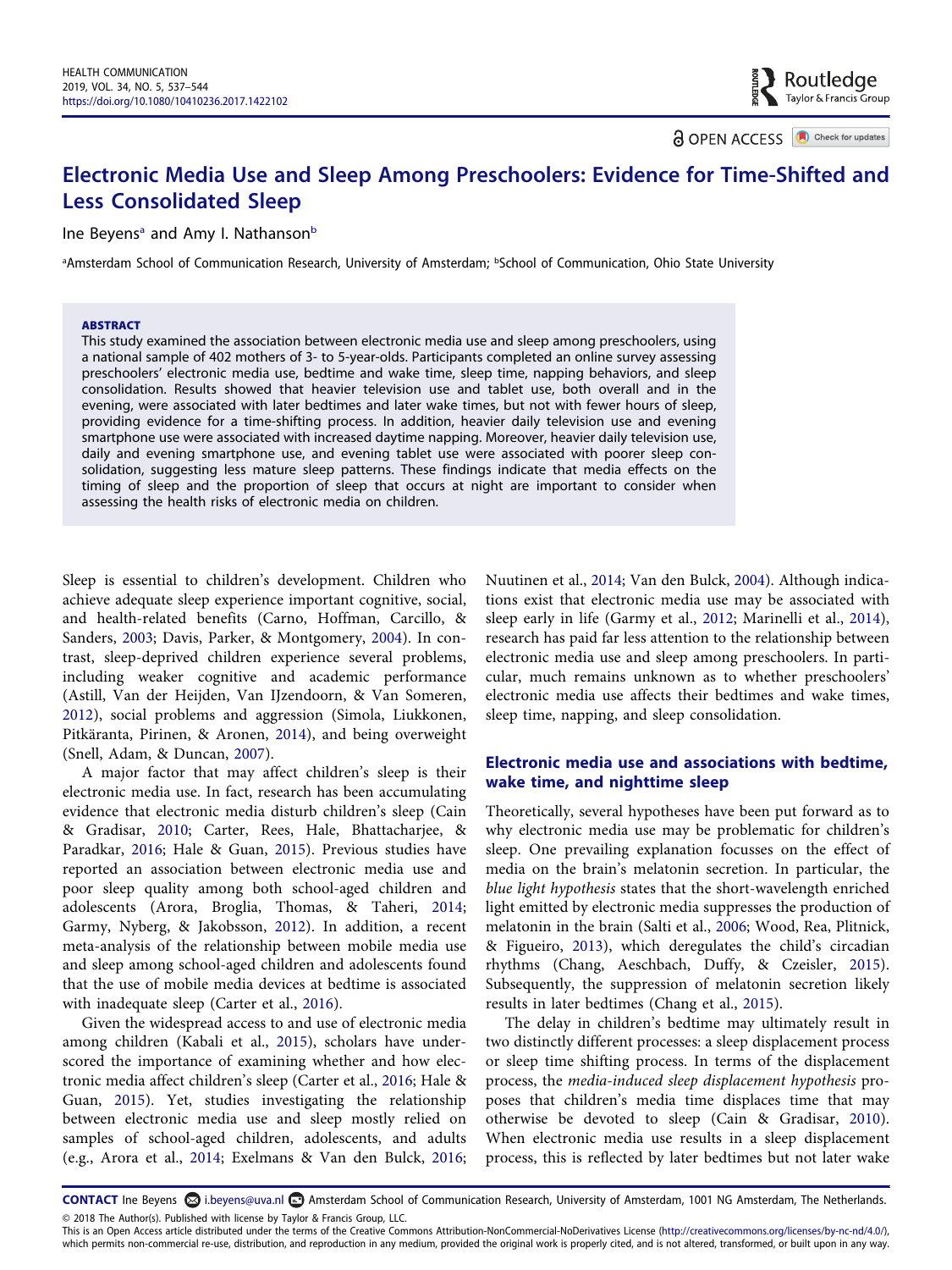Routledge Taylor & Francis Group

# Electronic Media Use and Sleep Among Preschoolers: Evidence for Time-Shifted and Less Consolidated Sleep

Ine Beyens<sup>a</sup> and Amy I. Nathanson<sup>[b](#page-1-0)</sup>

<span id="page-1-0"></span><sup>a</sup>Amsterdam School of Communication Research, University of Amsterdam; <sup>b</sup>School of Communication, Ohio State University

#### ABSTRACT

This study examined the association between electronic media use and sleep among preschoolers, using a national sample of 402 mothers of 3- to 5-year-olds. Participants completed an online survey assessing preschoolers' electronic media use, bedtime and wake time, sleep time, napping behaviors, and sleep consolidation. Results showed that heavier television use and tablet use, both overall and in the evening, were associated with later bedtimes and later wake times, but not with fewer hours of sleep, providing evidence for a time-shifting process. In addition, heavier daily television use and evening smartphone use were associated with increased daytime napping. Moreover, heavier daily television use, daily and evening smartphone use, and evening tablet use were associated with poorer sleep consolidation, suggesting less mature sleep patterns. These findings indicate that media effects on the timing of sleep and the proportion of sleep that occurs at night are important to consider when assessing the health risks of electronic media on children.

Sleep is essential to children's development. Children who achieve adequate sleep experience important cognitive, social, and health-related benefits (Carno, Hoffman, Carcillo, & Sanders, [2003;](#page-7-0) Davis, Parker, & Montgomery, [2004\)](#page-7-1). In contrast, sleep-deprived children experience several problems, including weaker cognitive and academic performance (Astill, Van der Heijden, Van IJzendoorn, & Van Someren, [2012](#page-7-2)), social problems and aggression (Simola, Liukkonen, Pitkäranta, Pirinen, & Aronen, [2014](#page-8-0)), and being overweight (Snell, Adam, & Duncan, [2007](#page-8-1)).

A major factor that may affect children's sleep is their electronic media use. In fact, research has been accumulating evidence that electronic media disturb children's sleep (Cain & Gradisar, [2010](#page-7-3); Carter, Rees, Hale, Bhattacharjee, & Paradkar, [2016](#page-7-4); Hale & Guan, [2015\)](#page-7-5). Previous studies have reported an association between electronic media use and poor sleep quality among both school-aged children and adolescents (Arora, Broglia, Thomas, & Taheri, [2014;](#page-7-6) Garmy, Nyberg, & Jakobsson, [2012\)](#page-7-7). In addition, a recent meta-analysis of the relationship between mobile media use and sleep among school-aged children and adolescents found that the use of mobile media devices at bedtime is associated with inadequate sleep (Carter et al., [2016](#page-7-4)).

Given the widespread access to and use of electronic media among children (Kabali et al., [2015\)](#page-7-8), scholars have underscored the importance of examining whether and how electronic media affect children's sleep (Carter et al., [2016](#page-7-4); Hale & Guan, [2015\)](#page-7-5). Yet, studies investigating the relationship between electronic media use and sleep mostly relied on samples of school-aged children, adolescents, and adults (e.g., Arora et al., [2014;](#page-7-6) Exelmans & Van den Bulck, [2016;](#page-7-9) Nuutinen et al., [2014](#page-8-2); Van den Bulck, [2004](#page-8-3)). Although indications exist that electronic media use may be associated with sleep early in life (Garmy et al., [2012;](#page-7-7) Marinelli et al., [2014](#page-8-4)), research has paid far less attention to the relationship between electronic media use and sleep among preschoolers. In particular, much remains unknown as to whether preschoolers' electronic media use affects their bedtimes and wake times, sleep time, napping, and sleep consolidation.

## Electronic media use and associations with bedtime, wake time, and nighttime sleep

Theoretically, several hypotheses have been put forward as to why electronic media use may be problematic for children's sleep. One prevailing explanation focusses on the effect of media on the brain's melatonin secretion. In particular, the blue light hypothesis states that the short-wavelength enriched light emitted by electronic media suppresses the production of melatonin in the brain (Salti et al., [2006;](#page-8-5) Wood, Rea, Plitnick, & Figueiro, [2013](#page-8-6)), which deregulates the child's circadian rhythms (Chang, Aeschbach, Duffy, & Czeisler, [2015](#page-7-10)). Subsequently, the suppression of melatonin secretion likely results in later bedtimes (Chang et al., [2015\)](#page-7-10).

The delay in children's bedtime may ultimately result in two distinctly different processes: a sleep displacement process or sleep time shifting process. In terms of the displacement process, the media-induced sleep displacement hypothesis proposes that children's media time displaces time that may otherwise be devoted to sleep (Cain & Gradisar, [2010](#page-7-3)). When electronic media use results in a sleep displacement process, this is reflected by later bedtimes but not later wake

CONTACT Ine Beyens (a i.beyens@uva.nl ● Amsterdam School of Communication Research, University of Amsterdam, 1001 NG Amsterdam, The Netherlands. © 2018 The Author(s). Published with license by Taylor & Francis Group, LLC.

This is an Open Access article distributed under the terms of the Creative Commons Attribution-NonCommercial-NoDerivatives License (http://creativecommons.org/licenses/by-nc-nd/4.0/), which permits non-commercial re-use, distribution, and reproduction in any medium, provided the original work is properly cited, and is not altered, transformed, or built upon in any way.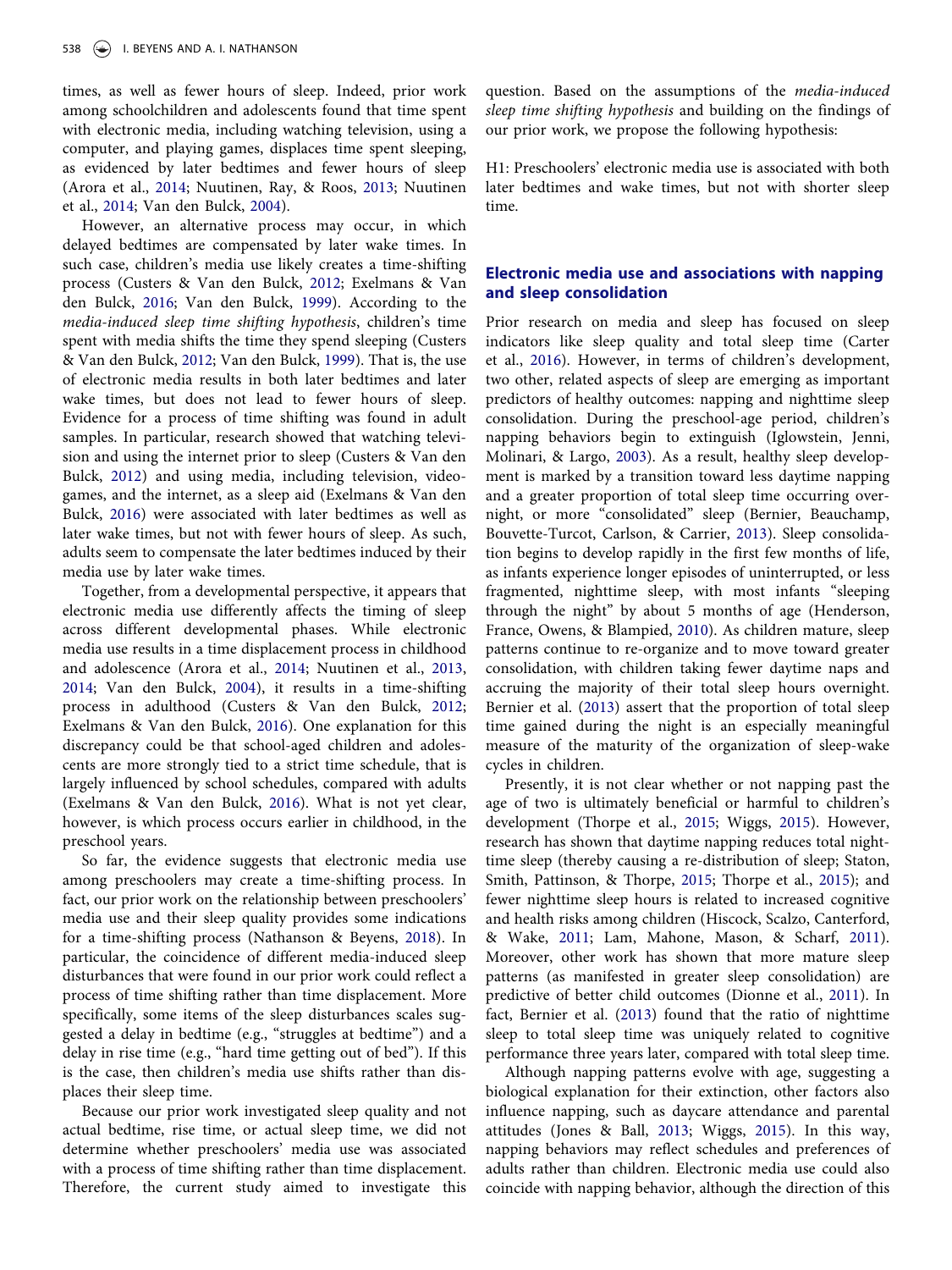times, as well as fewer hours of sleep. Indeed, prior work among schoolchildren and adolescents found that time spent with electronic media, including watching television, using a computer, and playing games, displaces time spent sleeping, as evidenced by later bedtimes and fewer hours of sleep (Arora et al., [2014](#page-7-6); Nuutinen, Ray, & Roos, [2013;](#page-8-7) Nuutinen et al., [2014;](#page-8-2) Van den Bulck, [2004](#page-8-3)).

However, an alternative process may occur, in which delayed bedtimes are compensated by later wake times. In such case, children's media use likely creates a time-shifting process (Custers & Van den Bulck, [2012;](#page-7-11) Exelmans & Van den Bulck, [2016](#page-7-9); Van den Bulck, [1999](#page-8-8)). According to the media-induced sleep time shifting hypothesis, children's time spent with media shifts the time they spend sleeping (Custers & Van den Bulck, [2012;](#page-7-11) Van den Bulck, [1999\)](#page-8-8). That is, the use of electronic media results in both later bedtimes and later wake times, but does not lead to fewer hours of sleep. Evidence for a process of time shifting was found in adult samples. In particular, research showed that watching television and using the internet prior to sleep (Custers & Van den Bulck, [2012](#page-7-11)) and using media, including television, videogames, and the internet, as a sleep aid (Exelmans & Van den Bulck, [2016\)](#page-7-9) were associated with later bedtimes as well as later wake times, but not with fewer hours of sleep. As such, adults seem to compensate the later bedtimes induced by their media use by later wake times.

Together, from a developmental perspective, it appears that electronic media use differently affects the timing of sleep across different developmental phases. While electronic media use results in a time displacement process in childhood and adolescence (Arora et al., [2014;](#page-7-6) Nuutinen et al., [2013,](#page-8-7) [2014](#page-8-2); Van den Bulck, [2004\)](#page-8-3), it results in a time-shifting process in adulthood (Custers & Van den Bulck, [2012;](#page-7-11) Exelmans & Van den Bulck, [2016\)](#page-7-9). One explanation for this discrepancy could be that school-aged children and adolescents are more strongly tied to a strict time schedule, that is largely influenced by school schedules, compared with adults (Exelmans & Van den Bulck, [2016](#page-7-9)). What is not yet clear, however, is which process occurs earlier in childhood, in the preschool years.

So far, the evidence suggests that electronic media use among preschoolers may create a time-shifting process. In fact, our prior work on the relationship between preschoolers' media use and their sleep quality provides some indications for a time-shifting process (Nathanson & Beyens, [2018](#page-8-9)). In particular, the coincidence of different media-induced sleep disturbances that were found in our prior work could reflect a process of time shifting rather than time displacement. More specifically, some items of the sleep disturbances scales suggested a delay in bedtime (e.g., "struggles at bedtime") and a delay in rise time (e.g., "hard time getting out of bed"). If this is the case, then children's media use shifts rather than displaces their sleep time.

Because our prior work investigated sleep quality and not actual bedtime, rise time, or actual sleep time, we did not determine whether preschoolers' media use was associated with a process of time shifting rather than time displacement. Therefore, the current study aimed to investigate this question. Based on the assumptions of the media-induced sleep time shifting hypothesis and building on the findings of our prior work, we propose the following hypothesis:

H1: Preschoolers' electronic media use is associated with both later bedtimes and wake times, but not with shorter sleep time.

### Electronic media use and associations with napping and sleep consolidation

Prior research on media and sleep has focused on sleep indicators like sleep quality and total sleep time (Carter et al., [2016](#page-7-4)). However, in terms of children's development, two other, related aspects of sleep are emerging as important predictors of healthy outcomes: napping and nighttime sleep consolidation. During the preschool-age period, children's napping behaviors begin to extinguish (Iglowstein, Jenni, Molinari, & Largo, [2003](#page-7-12)). As a result, healthy sleep development is marked by a transition toward less daytime napping and a greater proportion of total sleep time occurring overnight, or more "consolidated" sleep (Bernier, Beauchamp, Bouvette-Turcot, Carlson, & Carrier, [2013\)](#page-7-13). Sleep consolidation begins to develop rapidly in the first few months of life, as infants experience longer episodes of uninterrupted, or less fragmented, nighttime sleep, with most infants "sleeping through the night" by about 5 months of age (Henderson, France, Owens, & Blampied, [2010\)](#page-7-14). As children mature, sleep patterns continue to re-organize and to move toward greater consolidation, with children taking fewer daytime naps and accruing the majority of their total sleep hours overnight. Bernier et al. [\(2013](#page-7-13)) assert that the proportion of total sleep time gained during the night is an especially meaningful measure of the maturity of the organization of sleep-wake cycles in children.

Presently, it is not clear whether or not napping past the age of two is ultimately beneficial or harmful to children's development (Thorpe et al., [2015](#page-8-10); Wiggs, [2015\)](#page-8-11). However, research has shown that daytime napping reduces total nighttime sleep (thereby causing a re-distribution of sleep; Staton, Smith, Pattinson, & Thorpe, [2015](#page-8-12); Thorpe et al., [2015](#page-8-10)); and fewer nighttime sleep hours is related to increased cognitive and health risks among children (Hiscock, Scalzo, Canterford, & Wake, [2011](#page-7-15); Lam, Mahone, Mason, & Scharf, [2011](#page-7-16)). Moreover, other work has shown that more mature sleep patterns (as manifested in greater sleep consolidation) are predictive of better child outcomes (Dionne et al., [2011](#page-7-17)). In fact, Bernier et al. [\(2013](#page-7-13)) found that the ratio of nighttime sleep to total sleep time was uniquely related to cognitive performance three years later, compared with total sleep time.

Although napping patterns evolve with age, suggesting a biological explanation for their extinction, other factors also influence napping, such as daycare attendance and parental attitudes (Jones & Ball, [2013;](#page-7-18) Wiggs, [2015](#page-8-11)). In this way, napping behaviors may reflect schedules and preferences of adults rather than children. Electronic media use could also coincide with napping behavior, although the direction of this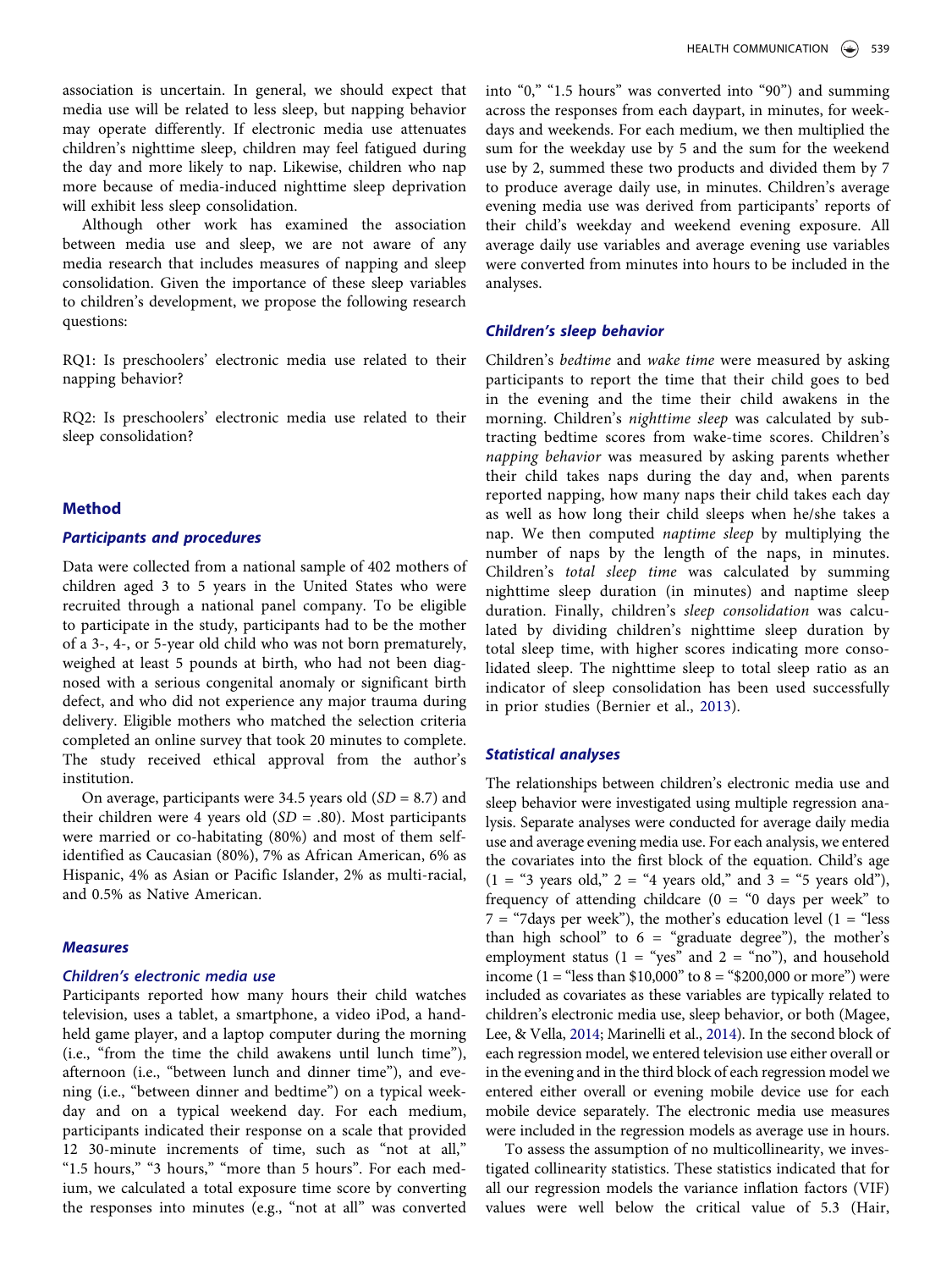association is uncertain. In general, we should expect that media use will be related to less sleep, but napping behavior may operate differently. If electronic media use attenuates children's nighttime sleep, children may feel fatigued during the day and more likely to nap. Likewise, children who nap more because of media-induced nighttime sleep deprivation will exhibit less sleep consolidation.

Although other work has examined the association between media use and sleep, we are not aware of any media research that includes measures of napping and sleep consolidation. Given the importance of these sleep variables to children's development, we propose the following research questions:

RQ1: Is preschoolers' electronic media use related to their napping behavior?

RQ2: Is preschoolers' electronic media use related to their sleep consolidation?

#### Method

#### Participants and procedures

Data were collected from a national sample of 402 mothers of children aged 3 to 5 years in the United States who were recruited through a national panel company. To be eligible to participate in the study, participants had to be the mother of a 3-, 4-, or 5-year old child who was not born prematurely, weighed at least 5 pounds at birth, who had not been diagnosed with a serious congenital anomaly or significant birth defect, and who did not experience any major trauma during delivery. Eligible mothers who matched the selection criteria completed an online survey that took 20 minutes to complete. The study received ethical approval from the author's institution.

On average, participants were 34.5 years old  $(SD = 8.7)$  and their children were 4 years old  $(SD = .80)$ . Most participants were married or co-habitating (80%) and most of them selfidentified as Caucasian (80%), 7% as African American, 6% as Hispanic, 4% as Asian or Pacific Islander, 2% as multi-racial, and 0.5% as Native American.

#### **Measures**

#### Children's electronic media use

Participants reported how many hours their child watches television, uses a tablet, a smartphone, a video iPod, a handheld game player, and a laptop computer during the morning (i.e., "from the time the child awakens until lunch time"), afternoon (i.e., "between lunch and dinner time"), and evening (i.e., "between dinner and bedtime") on a typical weekday and on a typical weekend day. For each medium, participants indicated their response on a scale that provided 12 30-minute increments of time, such as "not at all," "1.5 hours," "3 hours," "more than 5 hours". For each medium, we calculated a total exposure time score by converting the responses into minutes (e.g., "not at all" was converted into "0," "1.5 hours" was converted into "90") and summing across the responses from each daypart, in minutes, for weekdays and weekends. For each medium, we then multiplied the sum for the weekday use by 5 and the sum for the weekend use by 2, summed these two products and divided them by 7 to produce average daily use, in minutes. Children's average evening media use was derived from participants' reports of their child's weekday and weekend evening exposure. All average daily use variables and average evening use variables were converted from minutes into hours to be included in the analyses.

#### Children's sleep behavior

Children's bedtime and wake time were measured by asking participants to report the time that their child goes to bed in the evening and the time their child awakens in the morning. Children's nighttime sleep was calculated by subtracting bedtime scores from wake-time scores. Children's napping behavior was measured by asking parents whether their child takes naps during the day and, when parents reported napping, how many naps their child takes each day as well as how long their child sleeps when he/she takes a nap. We then computed naptime sleep by multiplying the number of naps by the length of the naps, in minutes. Children's total sleep time was calculated by summing nighttime sleep duration (in minutes) and naptime sleep duration. Finally, children's sleep consolidation was calculated by dividing children's nighttime sleep duration by total sleep time, with higher scores indicating more consolidated sleep. The nighttime sleep to total sleep ratio as an indicator of sleep consolidation has been used successfully in prior studies (Bernier et al., [2013](#page-7-13)).

#### Statistical analyses

The relationships between children's electronic media use and sleep behavior were investigated using multiple regression analysis. Separate analyses were conducted for average daily media use and average evening media use. For each analysis, we entered the covariates into the first block of the equation. Child's age  $(1 = "3 years old," 2 = "4 years old," and 3 = "5 years old"),$ frequency of attending childcare ( $0 = 0$  days per week" to  $7 =$  "7 days per week"), the mother's education level (1 = "less") than high school" to  $6 =$  "graduate degree"), the mother's employment status  $(1 = "yes" and 2 = "no"), and household$ income (1 = "less than \$10,000" to  $8 =$  "\$200,000 or more") were included as covariates as these variables are typically related to children's electronic media use, sleep behavior, or both (Magee, Lee, & Vella, [2014](#page-7-19); Marinelli et al., [2014](#page-8-4)). In the second block of each regression model, we entered television use either overall or in the evening and in the third block of each regression model we entered either overall or evening mobile device use for each mobile device separately. The electronic media use measures were included in the regression models as average use in hours.

To assess the assumption of no multicollinearity, we investigated collinearity statistics. These statistics indicated that for all our regression models the variance inflation factors (VIF) values were well below the critical value of 5.3 (Hair,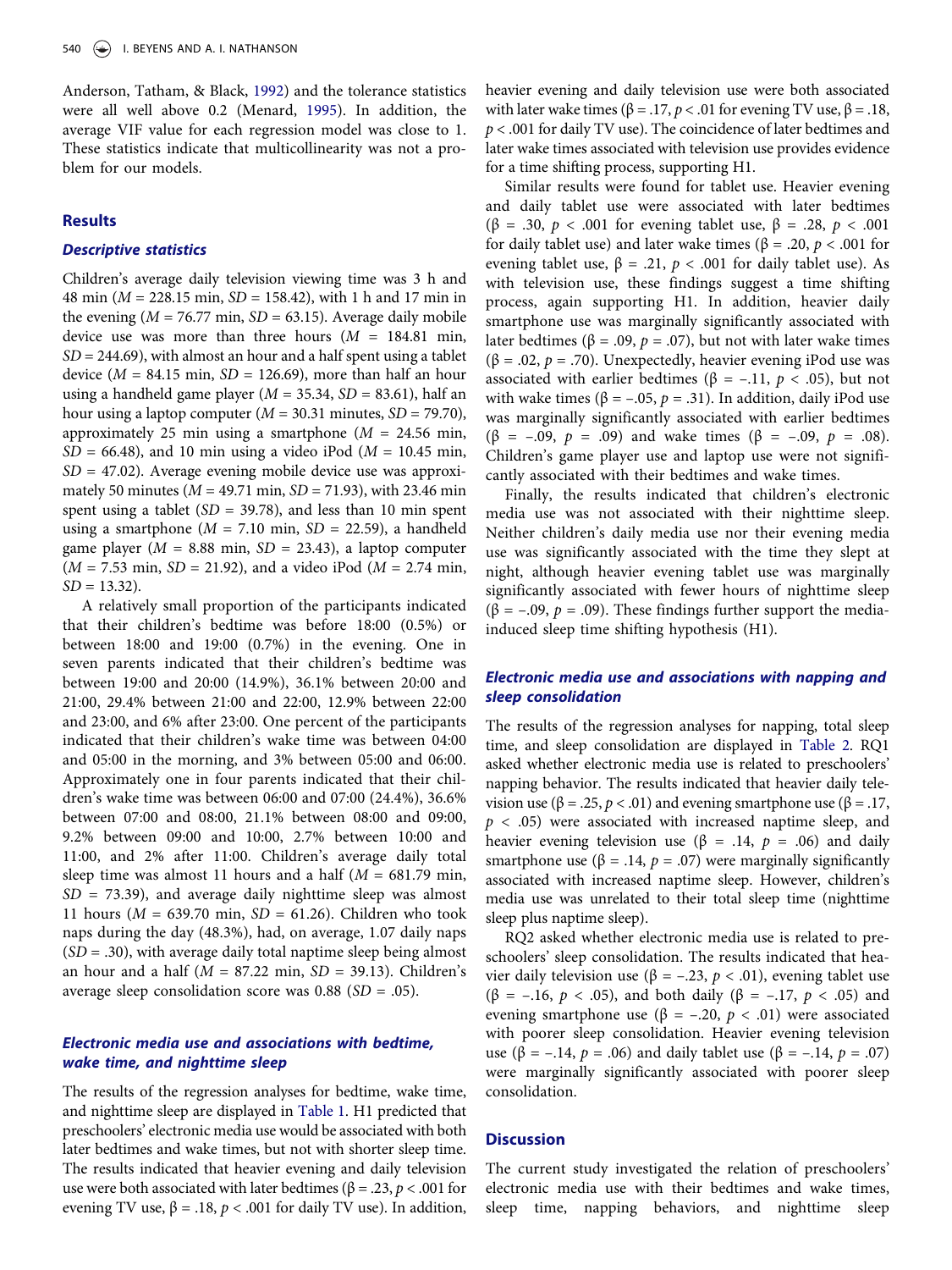Anderson, Tatham, & Black, [1992](#page-7-20)) and the tolerance statistics were all well above 0.2 (Menard, [1995](#page-8-13)). In addition, the average VIF value for each regression model was close to 1. These statistics indicate that multicollinearity was not a problem for our models.

#### **Results**

#### Descriptive statistics

Children's average daily television viewing time was 3 h and 48 min ( $M = 228.15$  min,  $SD = 158.42$ ), with 1 h and 17 min in the evening  $(M = 76.77 \text{ min}, SD = 63.15)$ . Average daily mobile device use was more than three hours  $(M = 184.81 \text{ min},$  $SD = 244.69$ , with almost an hour and a half spent using a tablet device ( $M = 84.15$  min,  $SD = 126.69$ ), more than half an hour using a handheld game player ( $M = 35.34$ ,  $SD = 83.61$ ), half an hour using a laptop computer ( $M = 30.31$  minutes,  $SD = 79.70$ ), approximately 25 min using a smartphone ( $M = 24.56$  min,  $SD = 66.48$ ), and 10 min using a video iPod ( $M = 10.45$  min,  $SD = 47.02$ ). Average evening mobile device use was approximately 50 minutes ( $M = 49.71$  min,  $SD = 71.93$ ), with 23.46 min spent using a tablet  $(SD = 39.78)$ , and less than 10 min spent using a smartphone ( $M = 7.10$  min,  $SD = 22.59$ ), a handheld game player ( $M = 8.88$  min,  $SD = 23.43$ ), a laptop computer  $(M = 7.53 \text{ min}, SD = 21.92)$ , and a video iPod  $(M = 2.74 \text{ min},$  $SD = 13.32$ ).

A relatively small proportion of the participants indicated that their children's bedtime was before 18:00 (0.5%) or between 18:00 and 19:00 (0.7%) in the evening. One in seven parents indicated that their children's bedtime was between 19:00 and 20:00 (14.9%), 36.1% between 20:00 and 21:00, 29.4% between 21:00 and 22:00, 12.9% between 22:00 and 23:00, and 6% after 23:00. One percent of the participants indicated that their children's wake time was between 04:00 and 05:00 in the morning, and 3% between 05:00 and 06:00. Approximately one in four parents indicated that their children's wake time was between 06:00 and 07:00 (24.4%), 36.6% between 07:00 and 08:00, 21.1% between 08:00 and 09:00, 9.2% between 09:00 and 10:00, 2.7% between 10:00 and 11:00, and 2% after 11:00. Children's average daily total sleep time was almost 11 hours and a half  $(M = 681.79 \text{ min}$ ,  $SD = 73.39$ , and average daily nighttime sleep was almost 11 hours ( $M = 639.70$  min,  $SD = 61.26$ ). Children who took naps during the day (48.3%), had, on average, 1.07 daily naps  $(SD = .30)$ , with average daily total naptime sleep being almost an hour and a half ( $M = 87.22$  min,  $SD = 39.13$ ). Children's average sleep consolidation score was  $0.88$  (SD = .05).

## Electronic media use and associations with bedtime, wake time, and nighttime sleep

The results of the regression analyses for bedtime, wake time, and nighttime sleep are displayed in [Table 1](#page-5-0). H1 predicted that preschoolers' electronic media use would be associated with both later bedtimes and wake times, but not with shorter sleep time. The results indicated that heavier evening and daily television use were both associated with later bedtimes ( $β = .23, p < .001$  for evening TV use,  $β = .18, p < .001$  for daily TV use). In addition,

heavier evening and daily television use were both associated with later wake times ( $\beta = .17$ ,  $p < .01$  for evening TV use,  $\beta = .18$ ,  $p < .001$  for daily TV use). The coincidence of later bedtimes and later wake times associated with television use provides evidence for a time shifting process, supporting H1.

Similar results were found for tablet use. Heavier evening and daily tablet use were associated with later bedtimes ( $\beta$  = .30,  $p < .001$  for evening tablet use,  $\beta$  = .28,  $p < .001$ for daily tablet use) and later wake times (β = .20, p < .001 for evening tablet use,  $β = .21, p < .001$  for daily tablet use). As with television use, these findings suggest a time shifting process, again supporting H1. In addition, heavier daily smartphone use was marginally significantly associated with later bedtimes (β = .09,  $p = .07$ ), but not with later wake times ( $\beta$  = .02,  $p$  = .70). Unexpectedly, heavier evening iPod use was associated with earlier bedtimes (β = -.11,  $p$  < .05), but not with wake times ( $\beta$  = -.05,  $p$  = .31). In addition, daily iPod use was marginally significantly associated with earlier bedtimes (β = –.09, p = .09) and wake times (β = –.09, p = .08). Children's game player use and laptop use were not significantly associated with their bedtimes and wake times.

Finally, the results indicated that children's electronic media use was not associated with their nighttime sleep. Neither children's daily media use nor their evening media use was significantly associated with the time they slept at night, although heavier evening tablet use was marginally significantly associated with fewer hours of nighttime sleep ( $\beta$  = -.09,  $p$  = .09). These findings further support the mediainduced sleep time shifting hypothesis (H1).

### Electronic media use and associations with napping and sleep consolidation

The results of the regression analyses for napping, total sleep time, and sleep consolidation are displayed in [Table 2](#page-6-0). RQ1 asked whether electronic media use is related to preschoolers' napping behavior. The results indicated that heavier daily television use (β = .25,  $p < .01$ ) and evening smartphone use (β = .17,  $p < .05$ ) were associated with increased naptime sleep, and heavier evening television use ( $\beta$  = .14,  $p$  = .06) and daily smartphone use ( $\beta$  = .14,  $p$  = .07) were marginally significantly associated with increased naptime sleep. However, children's media use was unrelated to their total sleep time (nighttime sleep plus naptime sleep).

RQ2 asked whether electronic media use is related to preschoolers' sleep consolidation. The results indicated that heavier daily television use (β = -.23,  $p < .01$ ), evening tablet use (β = -.16, *p* < .05), and both daily (β = -.17, *p* < .05) and evening smartphone use (β = -.20,  $p < .01$ ) were associated with poorer sleep consolidation. Heavier evening television use (β = -.14, p = .06) and daily tablet use (β = -.14, p = .07) were marginally significantly associated with poorer sleep consolidation.

#### **Discussion**

The current study investigated the relation of preschoolers' electronic media use with their bedtimes and wake times, sleep time, napping behaviors, and nighttime sleep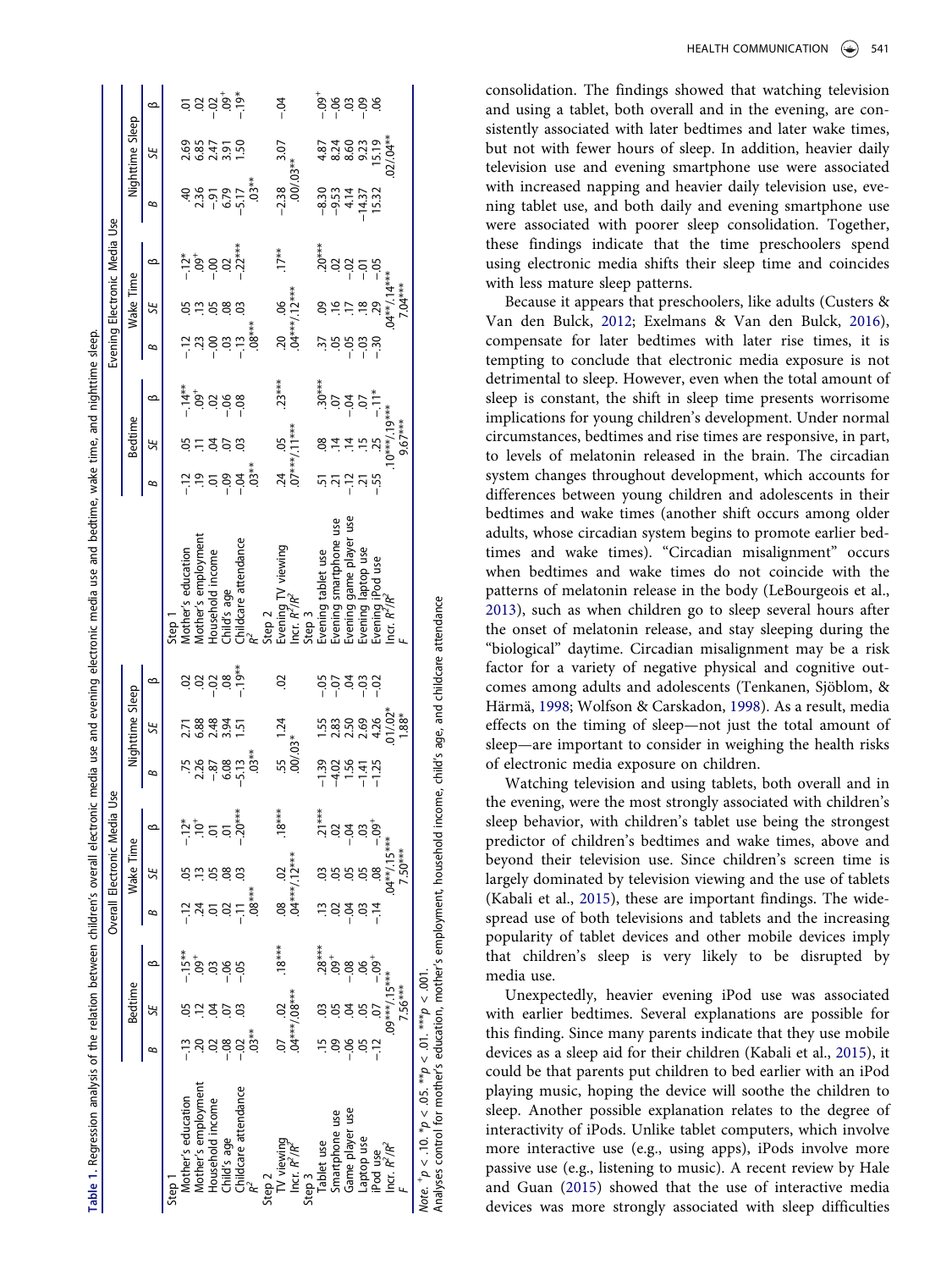<span id="page-5-0"></span>

|                                                                                                                       |         |                |                      |          |                |                              |                                                                                      |                       |             | Table 1. Regression analysis of the relation between children's overall electronic media use and evening electronic media use and bedtime, wake time, and nighttime sleep. |                                                                                                                                                                                                                                                                                                          |                |                                                                      |                      |                                                                   |                                                                                                                                                                              |                                                               |                                                                                                  |                           |
|-----------------------------------------------------------------------------------------------------------------------|---------|----------------|----------------------|----------|----------------|------------------------------|--------------------------------------------------------------------------------------|-----------------------|-------------|----------------------------------------------------------------------------------------------------------------------------------------------------------------------------|----------------------------------------------------------------------------------------------------------------------------------------------------------------------------------------------------------------------------------------------------------------------------------------------------------|----------------|----------------------------------------------------------------------|----------------------|-------------------------------------------------------------------|------------------------------------------------------------------------------------------------------------------------------------------------------------------------------|---------------------------------------------------------------|--------------------------------------------------------------------------------------------------|---------------------------|
|                                                                                                                       |         |                |                      |          |                | Overall Electronic Media Use |                                                                                      |                       |             |                                                                                                                                                                            |                                                                                                                                                                                                                                                                                                          |                |                                                                      |                      |                                                                   | Evening Electronic Media Use                                                                                                                                                 |                                                               |                                                                                                  |                           |
|                                                                                                                       |         | Bedtime        |                      |          | Wake Time      |                              |                                                                                      | Nighttime Sleep       |             |                                                                                                                                                                            |                                                                                                                                                                                                                                                                                                          | Bedtime        |                                                                      |                      | Wake Time                                                         |                                                                                                                                                                              |                                                               | Nighttime Sleep                                                                                  |                           |
|                                                                                                                       | Β       | SE             | ⇔                    | B        | SE             | ∞                            | ₿                                                                                    | SE                    | ∞           |                                                                                                                                                                            | 8                                                                                                                                                                                                                                                                                                        | Ж              | $\circ$                                                              | B                    | 5£                                                                | ⇔                                                                                                                                                                            | B                                                             | SF                                                                                               | అ                         |
| Step <sup>-</sup>                                                                                                     |         |                |                      |          |                |                              |                                                                                      |                       |             | Step 1                                                                                                                                                                     |                                                                                                                                                                                                                                                                                                          |                |                                                                      |                      |                                                                   |                                                                                                                                                                              |                                                               |                                                                                                  |                           |
| Mother's education                                                                                                    |         |                |                      |          |                | $-12$ <sup>*</sup>           |                                                                                      | 2.71                  |             | Mother's education                                                                                                                                                         |                                                                                                                                                                                                                                                                                                          |                |                                                                      |                      |                                                                   |                                                                                                                                                                              |                                                               |                                                                                                  |                           |
| Mother's employment                                                                                                   |         |                | $-60$                |          |                | $\overline{0}^+$             | $7.36$<br>$7.876$<br>$6.08$                                                          | 6.88                  | ខុខខុខ*្ញុំ | Mother's employment                                                                                                                                                        | $-2$<br>$-3$<br>$-3$<br>$-3$<br>$-3$<br>$-3$<br>$-3$<br>$-3$<br>$-3$<br>$-3$<br>$-3$<br>$-3$<br>$-3$<br>$-3$<br>$-3$<br>$-3$<br>$-3$<br>$-3$<br>$-3$<br>$-3$<br>$-3$<br>$-3$<br>$-3$<br>$-3$<br>$-3$<br>$-3$<br>$-3$<br>$-3$<br>$-3$<br>$-3$<br>$-3$<br>$-3$<br>$-3$<br>$-3$<br>$-3$<br>$-3$<br>$-3$<br> |                | **<br>100880<br>10087                                                | $-2.3882 - 1.$       |                                                                   | $\ddot{\tilde{c}}$<br>$\ddot{c}$<br>$\ddot{c}$<br>$\ddot{c}$<br>$\ddot{c}$<br>$\ddot{c}$<br>$\ddot{c}$<br>$\ddot{c}$<br>$\ddot{c}$<br>$\ddot{c}$<br>$\ddot{c}$<br>$\ddot{c}$ |                                                               | 88555<br>88555                                                                                   | ទីនន់ខ្ញុំ ខ្ញុំ          |
| Household income                                                                                                      |         |                |                      |          |                | Ξ.                           |                                                                                      | $23.5$<br>$-2.5$      |             | Household income                                                                                                                                                           |                                                                                                                                                                                                                                                                                                          | Ś.             |                                                                      |                      | $\ddot{a}$ is a                                                   |                                                                                                                                                                              |                                                               |                                                                                                  |                           |
| Child's age                                                                                                           |         |                | $-06$                |          |                | $\overline{a}$               |                                                                                      |                       |             |                                                                                                                                                                            |                                                                                                                                                                                                                                                                                                          |                |                                                                      |                      |                                                                   |                                                                                                                                                                              |                                                               |                                                                                                  |                           |
| Childcare attendance                                                                                                  |         |                | -05                  |          |                | $-20***$                     | $-5.13$                                                                              |                       |             | Child's age<br>Childcare attendance<br><sub>p2</sub>                                                                                                                       |                                                                                                                                                                                                                                                                                                          |                |                                                                      |                      | S.                                                                |                                                                                                                                                                              |                                                               |                                                                                                  |                           |
|                                                                                                                       | $.03**$ |                |                      | $.08***$ |                |                              | $03**$                                                                               |                       |             |                                                                                                                                                                            |                                                                                                                                                                                                                                                                                                          |                |                                                                      | $.08***$             |                                                                   |                                                                                                                                                                              | $7.36$<br>$-9.36$<br>$-9.17$<br>$-5.17$<br>$-5.17$<br>$-5.17$ |                                                                                                  |                           |
| Step <sub>2</sub>                                                                                                     |         |                |                      |          |                |                              |                                                                                      |                       |             |                                                                                                                                                                            |                                                                                                                                                                                                                                                                                                          |                |                                                                      |                      |                                                                   |                                                                                                                                                                              |                                                               |                                                                                                  |                           |
| IV viewing                                                                                                            |         | $\overline{c}$ | $.18***$             | 8ġ       | $\ddot{\circ}$ | $.18***$                     | 55                                                                                   | 1.24                  | So          | viewing<br>Step 2<br>Evening TV vi<br>Incr. R <sup>7</sup> /R <sup>2</sup>                                                                                                 | $\dot{5}$                                                                                                                                                                                                                                                                                                | $-5$           | $.23***$                                                             |                      |                                                                   | $.17**$                                                                                                                                                                      | $-2.38$                                                       | 3.07                                                                                             | $-5$                      |
| Incr. $R^2/R^2$                                                                                                       |         | $.04***08***$  |                      |          | $.04***/12***$ |                              | $.00/03*$                                                                            |                       |             |                                                                                                                                                                            |                                                                                                                                                                                                                                                                                                          | $.07***/11***$ |                                                                      | .06<br>.04***/.12*** |                                                                   |                                                                                                                                                                              | $.00/03**$                                                    |                                                                                                  |                           |
| Step <sub>3</sub>                                                                                                     |         |                |                      |          |                |                              |                                                                                      |                       |             | Step <sub>3</sub>                                                                                                                                                          |                                                                                                                                                                                                                                                                                                          |                |                                                                      |                      |                                                                   |                                                                                                                                                                              |                                                               |                                                                                                  |                           |
| Tablet use                                                                                                            |         |                | $.28***$             |          |                | $.21***$                     |                                                                                      | 1.55                  |             | Evening tablet use                                                                                                                                                         |                                                                                                                                                                                                                                                                                                          |                | $\frac{30}{0}$<br>$\frac{30}{0}$<br>$\frac{30}{0}$<br>$\frac{30}{0}$ |                      |                                                                   | **<br>232558<br>23255                                                                                                                                                        |                                                               | $4.87$<br>$8.24$<br>$8.60$<br>$8.60$<br>$8.24$<br>$8.24$<br>$8.24$<br>$8.24$<br>$8.24$<br>$8.24$ | ទី ខុ ឌ ឌ ឌ<br>ត្រី<br>គី |
| Smartphone use                                                                                                        |         |                | $90^+$               |          |                |                              | $-4 - 1$<br>$-4 - 7$<br>$-7$<br>$-7$<br>$-7$<br>$-7$<br>$-7$<br>$-7$<br>$-7$<br>$-7$ | 28569<br>2569<br>2542 | 5533        | Evening smartphone use                                                                                                                                                     | 57<br>21                                                                                                                                                                                                                                                                                                 |                |                                                                      | ر ۱<br>پرونو پرون    |                                                                   |                                                                                                                                                                              |                                                               |                                                                                                  |                           |
| Game player use                                                                                                       | $-06$   |                | $-08$                | $-0.4$   |                | $-0.4$                       |                                                                                      |                       |             | Evening game player use                                                                                                                                                    |                                                                                                                                                                                                                                                                                                          |                |                                                                      |                      |                                                                   |                                                                                                                                                                              |                                                               |                                                                                                  |                           |
| Laptop use                                                                                                            |         |                | $\frac{8}{1}$        |          |                | S.                           |                                                                                      |                       |             | Evening laptop use                                                                                                                                                         | ្អុក ងូ                                                                                                                                                                                                                                                                                                  | $\ddot{5}$     |                                                                      |                      | $\ddot{a}$ $\ddot{b}$ $\ddot{c}$ $\ddot{c}$ $\ddot{a}$ $\ddot{c}$ |                                                                                                                                                                              |                                                               |                                                                                                  |                           |
| iPod use                                                                                                              | $-12$   |                | $-0.09$ <sup>+</sup> |          | $\overline{8}$ | $-0.09$                      |                                                                                      |                       |             | Evening iPod use                                                                                                                                                           |                                                                                                                                                                                                                                                                                                          |                | $-11*$                                                               |                      |                                                                   |                                                                                                                                                                              |                                                               |                                                                                                  |                           |
| Incr. $R^2/R^2$                                                                                                       |         | $.09***/15***$ |                      |          | $.04**/.15***$ |                              |                                                                                      | $01/02*$              |             | Incr. $R^Z/R^2$                                                                                                                                                            |                                                                                                                                                                                                                                                                                                          | $.10***/19***$ |                                                                      |                      | 04**/.14***                                                       |                                                                                                                                                                              |                                                               |                                                                                                  |                           |
|                                                                                                                       |         | $7.56***$      |                      |          | $7.50***$      |                              |                                                                                      | 1.88*                 |             |                                                                                                                                                                            |                                                                                                                                                                                                                                                                                                          | $9.67***$      |                                                                      |                      | $7.04***$                                                         |                                                                                                                                                                              |                                                               |                                                                                                  |                           |
| Note. $^{\dagger}p < 10.$ $^{\ast}p < .05.$ $^{\ast\ast}p < .01.$ $^{\ast\ast\ast}p < .001.$                          |         |                |                      |          |                |                              |                                                                                      |                       |             |                                                                                                                                                                            |                                                                                                                                                                                                                                                                                                          |                |                                                                      |                      |                                                                   |                                                                                                                                                                              |                                                               |                                                                                                  |                           |
| Analyses control for mother's education, mother's employment, household income, child's age, and childcare attendance |         |                |                      |          |                |                              |                                                                                      |                       |             |                                                                                                                                                                            |                                                                                                                                                                                                                                                                                                          |                |                                                                      |                      |                                                                   |                                                                                                                                                                              |                                                               |                                                                                                  |                           |

consolidation. The findings showed that watching television and using a tablet, both overall and in the evening, are consistently associated with later bedtimes and later wake times, but not with fewer hours of sleep. In addition, heavier daily television use and evening smartphone use were associated with increased napping and heavier daily television use, evening tablet use, and both daily and evening smartphone use were associated with poorer sleep consolidation. Together, these findings indicate that the time preschoolers spend using electronic media shifts their sleep time and coincides with less mature sleep patterns.

Because it appears that preschoolers, like adults (Custers & Van den Bulck, [2012](#page-7-11); Exelmans & Van den Bulck, [2016](#page-7-9)), compensate for later bedtimes with later rise times, it is tempting to conclude that electronic media exposure is not detrimental to sleep. However, even when the total amount of sleep is constant, the shift in sleep time presents worrisome implications for young children's development. Under normal circumstances, bedtimes and rise times are responsive, in part, to levels of melatonin released in the brain. The circadian system changes throughout development, which accounts for differences between young children and adolescents in their bedtimes and wake times (another shift occurs among older adults, whose circadian system begins to promote earlier bedtimes and wake times). "Circadian misalignment" occurs when bedtimes and wake times do not coincide with the patterns of melatonin release in the body (LeBourgeois et al., [2013](#page-7-21)), such as when children go to sleep several hours after the onset of melatonin release, and stay sleeping during the "biological" daytime. Circadian misalignment may be a risk factor for a variety of negative physical and cognitive outcomes among adults and adolescents (Tenkanen, Sjöblom, & Härmä, [1998](#page-8-14); Wolfson & Carskadon, [1998\)](#page-8-15). As a result, media effects on the timing of sleep—not just the total amount of sleep—are important to consider in weighing the health risks of electronic media exposure on children.

Watching television and using tablets, both overall and in the evening, were the most strongly associated with children's sleep behavior, with children's tablet use being the strongest predictor of children's bedtimes and wake times, above and beyond their television use. Since children's screen time is largely dominated by television viewing and the use of tablets (Kabali et al., [2015\)](#page-7-8), these are important findings. The widespread use of both televisions and tablets and the increasing popularity of tablet devices and other mobile devices imply that children's sleep is very likely to be disrupted by media use.

Unexpectedly, heavier evening iPod use was associated with earlier bedtimes. Several explanations are possible for this finding. Since many parents indicate that they use mobile devices as a sleep aid for their children (Kabali et al., [2015\)](#page-7-8), it could be that parents put children to bed earlier with an iPod playing music, hoping the device will soothe the children to sleep. Another possible explanation relates to the degree of interactivity of iPods. Unlike tablet computers, which involve more interactive use (e.g., using apps), iPods involve more passive use (e.g., listening to music). A recent review by Hale and Guan [\(2015](#page-7-5)) showed that the use of interactive media devices was more strongly associated with sleep difficulties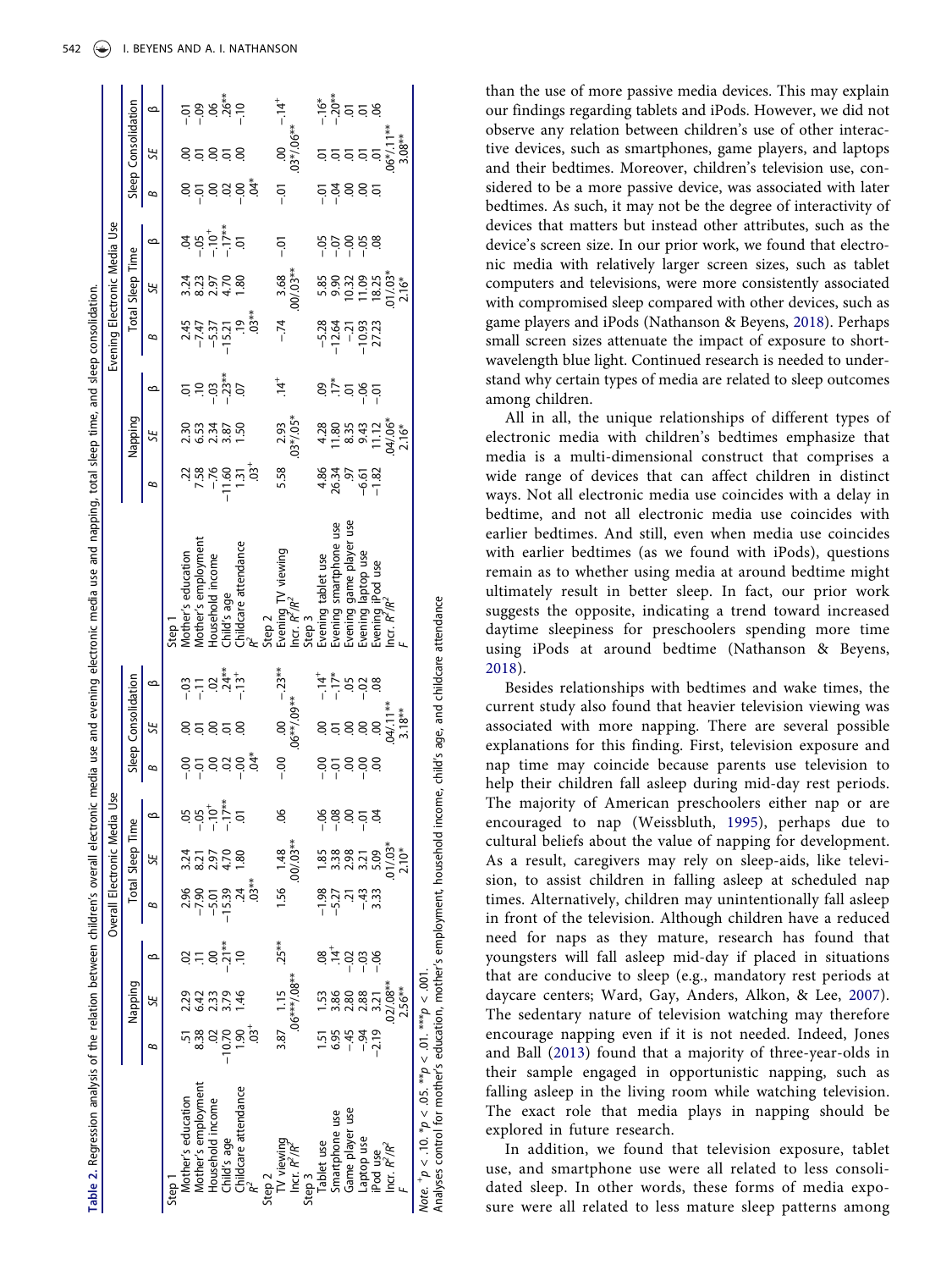<span id="page-6-0"></span>

|                                                                                                                                                                                                                       |            |                             |          |                          |                                           |                                                                                           |         |                         |                                                                    | Table 2. Regression analysis of the relation between children's overall electronic media use and media use and napping, total sleep time, and sleep consolidation. |                                                                                                                                                                                                                                                                                                                                                  |                                                                      |                                                                |                                                                               |                                                                                                                                                                                                                                                                                                               |                                                    |                              |                                              |                          |
|-----------------------------------------------------------------------------------------------------------------------------------------------------------------------------------------------------------------------|------------|-----------------------------|----------|--------------------------|-------------------------------------------|-------------------------------------------------------------------------------------------|---------|-------------------------|--------------------------------------------------------------------|--------------------------------------------------------------------------------------------------------------------------------------------------------------------|--------------------------------------------------------------------------------------------------------------------------------------------------------------------------------------------------------------------------------------------------------------------------------------------------------------------------------------------------|----------------------------------------------------------------------|----------------------------------------------------------------|-------------------------------------------------------------------------------|---------------------------------------------------------------------------------------------------------------------------------------------------------------------------------------------------------------------------------------------------------------------------------------------------------------|----------------------------------------------------|------------------------------|----------------------------------------------|--------------------------|
|                                                                                                                                                                                                                       |            |                             |          | Overall Electronic Media |                                           | Use                                                                                       |         |                         |                                                                    |                                                                                                                                                                    |                                                                                                                                                                                                                                                                                                                                                  |                                                                      |                                                                | Evening Electronic Media Use                                                  |                                                                                                                                                                                                                                                                                                               |                                                    |                              |                                              |                          |
|                                                                                                                                                                                                                       |            | Napping                     |          |                          | Total Sleep Time                          |                                                                                           |         | Sleep Consolidation     |                                                                    |                                                                                                                                                                    |                                                                                                                                                                                                                                                                                                                                                  | Napping                                                              |                                                                |                                                                               | Total Sleep Time                                                                                                                                                                                                                                                                                              |                                                    |                              | Sleep Consolidation                          |                          |
|                                                                                                                                                                                                                       | 8          | SE                          | ൶        | B                        | SF,                                       | മ                                                                                         | B       | ЗŚ                      | $\sigma$                                                           |                                                                                                                                                                    | B                                                                                                                                                                                                                                                                                                                                                | 35                                                                   | പ്പ                                                            | $\mathcal{B}% _{A}=\mathcal{A}_{A}\mathcal{A}_{A}$                            | ЗŚ                                                                                                                                                                                                                                                                                                            | പ                                                  | B                            | SE                                           | $\mathbf{a}$             |
| Step 1                                                                                                                                                                                                                |            |                             |          |                          |                                           |                                                                                           |         |                         |                                                                    | Step 1                                                                                                                                                             |                                                                                                                                                                                                                                                                                                                                                  |                                                                      |                                                                |                                                                               |                                                                                                                                                                                                                                                                                                               |                                                    |                              |                                              |                          |
| Mother's education                                                                                                                                                                                                    |            |                             |          |                          |                                           |                                                                                           |         |                         |                                                                    |                                                                                                                                                                    |                                                                                                                                                                                                                                                                                                                                                  |                                                                      |                                                                |                                                                               |                                                                                                                                                                                                                                                                                                               |                                                    |                              |                                              |                          |
| Mother's employment                                                                                                                                                                                                   | 8.38       | 2333<br>2333<br>2333        | $\Xi$ 8  | $-7.96$                  | 22227<br>22227<br>2222                    | $35.71 3.72 3.73 3.73 3.73 3.74 3.73 3.74 3.74 3.74 3.74 3.74 3.74 3.74 3.74 3.74 3.74 <$ |         | 85858                   | $0 = 0.44$<br>$-0.44$<br>$-1.54$                                   | Mother's education<br>Mother's employment                                                                                                                          |                                                                                                                                                                                                                                                                                                                                                  | 2324750<br>2334750<br>234750                                         | $\leq$ $\frac{1}{6}$ $\frac{1}{6}$ $\frac{1}{6}$ $\frac{1}{6}$ |                                                                               | $3.39700$<br>$3.39700$<br>$4.39700$                                                                                                                                                                                                                                                                           | $\begin{array}{c}\n 25 \\  -1 \\  \end{array}$     |                              | 85858                                        | ភ្នួន នុំ<br>ភូមិ នុង ក្ |
| Household income                                                                                                                                                                                                      |            |                             |          |                          |                                           |                                                                                           |         |                         |                                                                    | Household income                                                                                                                                                   |                                                                                                                                                                                                                                                                                                                                                  |                                                                      |                                                                |                                                                               |                                                                                                                                                                                                                                                                                                               |                                                    |                              |                                              |                          |
| Child's age                                                                                                                                                                                                           | $-10.70$   |                             | $-21**$  | $-5.01$<br>$-15.39$      |                                           |                                                                                           |         |                         |                                                                    | Child's age                                                                                                                                                        |                                                                                                                                                                                                                                                                                                                                                  |                                                                      |                                                                |                                                                               |                                                                                                                                                                                                                                                                                                               |                                                    |                              |                                              |                          |
| Childcare attendance                                                                                                                                                                                                  | <b>061</b> | 1.46                        |          | $\dot{z}$                | 1.80                                      |                                                                                           |         |                         |                                                                    | Childcare <sup>r</sup> attendance                                                                                                                                  |                                                                                                                                                                                                                                                                                                                                                  |                                                                      |                                                                |                                                                               |                                                                                                                                                                                                                                                                                                               |                                                    |                              |                                              |                          |
|                                                                                                                                                                                                                       | $03^{+}$   |                             |          | $.03**$                  |                                           |                                                                                           | 85888\$ |                         |                                                                    |                                                                                                                                                                    | $\begin{array}{r} .22 \\ 7.58 \\ -1.60 \\ -1.51 \\ -1.51 \\ -1.51 \\ -1.51 \\ -1.51 \\ -1.51 \\ -1.51 \\ -1.51 \\ -1.51 \\ -1.53 \\ -1.53 \\ -1.53 \\ -1.53 \\ -1.53 \\ -1.53 \\ -1.53 \\ -1.53 \\ -1.53 \\ -1.53 \\ -1.53 \\ -1.53 \\ -1.53 \\ -1.53 \\ -1.53 \\ -1.53 \\ -1.53 \\ -1.53 \\ -1.53 \\ -1.53 \\ -1.53 \\ -1.53 \\ -1.53 \\ -1.53$ |                                                                      |                                                                | $-7.45$<br>$-7.47$<br>$-5.37$<br>$-15.21$<br>$-19$<br>$-19$<br>$-19$<br>$-19$ |                                                                                                                                                                                                                                                                                                               |                                                    | $S = S \times S$             |                                              |                          |
| Step <sub>2</sub>                                                                                                                                                                                                     |            |                             |          |                          |                                           |                                                                                           |         |                         |                                                                    |                                                                                                                                                                    |                                                                                                                                                                                                                                                                                                                                                  |                                                                      |                                                                |                                                                               |                                                                                                                                                                                                                                                                                                               |                                                    |                              |                                              |                          |
| TV viewing                                                                                                                                                                                                            |            |                             | $25**$   |                          |                                           | క                                                                                         | $-0.0$  |                         |                                                                    |                                                                                                                                                                    | 5.58                                                                                                                                                                                                                                                                                                                                             |                                                                      | $14^{+}$                                                       | $-74$                                                                         |                                                                                                                                                                                                                                                                                                               |                                                    | $-5$                         |                                              | $-14^{+}$                |
| Incr. $R^2/R^2$                                                                                                                                                                                                       |            | $3.87$ 1.15<br>.06***/.08** |          |                          | $1.56$ $1.48$<br>.00/.03**                |                                                                                           |         |                         | $\begin{array}{r} .00 \ -23** \ .06**/09** \end{array}$            | Step 2<br>Evening TV viewing<br>Incr. <i>R<sup>2</sup>/R<sup>2</sup></i><br>Step 3                                                                                 |                                                                                                                                                                                                                                                                                                                                                  | $2.93$<br>.03*/.05*                                                  |                                                                |                                                                               | $3.68$<br>$00/03**$                                                                                                                                                                                                                                                                                           | $-5$                                               |                              | $-$<br>$-$<br>00.<br>00.                     |                          |
| Step <sub>3</sub>                                                                                                                                                                                                     |            |                             |          |                          |                                           |                                                                                           |         |                         |                                                                    |                                                                                                                                                                    |                                                                                                                                                                                                                                                                                                                                                  |                                                                      |                                                                |                                                                               |                                                                                                                                                                                                                                                                                                               |                                                    |                              |                                              |                          |
| Tablet use                                                                                                                                                                                                            |            |                             |          | $-1.98$                  | 1.85                                      |                                                                                           | 85888   | 812880.1**<br>25880.1** | $\begin{array}{c}\n 1 \\  1 \\  2 \\  3 \\  4 \\  5\n \end{array}$ | Evening tablet use                                                                                                                                                 | $488$<br>$483$<br>$95$<br>$92$<br>$92$<br>$-1$<br>$-1$                                                                                                                                                                                                                                                                                           | $4.28$<br>$11.80$<br>$9.35$<br>$11.2$<br>$9.42$<br>$11.26$<br>$2.16$ | 8.7587                                                         | $-5.28$<br>$-12.47$<br>$-10.93$<br>$-10.33$                                   | $\begin{array}{c} 5.85 \\ 9.91 \\ 0.21 \\ 1.09 \\ 1.03 \\ 1.03 \\ 0.03 \\ 0.03 \\ 0.03 \\ 0.03 \\ 0.03 \\ 0.03 \\ 0.03 \\ 0.03 \\ 0.03 \\ 0.03 \\ 0.03 \\ 0.03 \\ 0.03 \\ 0.03 \\ 0.03 \\ 0.03 \\ 0.03 \\ 0.03 \\ 0.03 \\ 0.03 \\ 0.03 \\ 0.03 \\ 0.03 \\ 0.03 \\ 0.03 \\ 0.03 \\ 0.03 \\ 0.03 \\ 0.03 \\ 0.$ | $\begin{array}{c} 858 \\ 1111 \\ 1111 \end{array}$ | ត្ត ខុននុត្ត<br>ក្នុង ខុនត្ត | 0015<br>0015 003<br>003 003 11:**<br>003 103 |                          |
| Smartphone use                                                                                                                                                                                                        | 6.95       | 3.86                        | $14^{+}$ | $-5.27$                  |                                           | ខុឌុខុគុឌុ<br>                                                                            |         |                         |                                                                    | Evening smartphone use                                                                                                                                             |                                                                                                                                                                                                                                                                                                                                                  |                                                                      |                                                                |                                                                               |                                                                                                                                                                                                                                                                                                               |                                                    |                              |                                              |                          |
| Game player use                                                                                                                                                                                                       | $-45$      | 2.80                        | $-02$    |                          |                                           |                                                                                           |         |                         |                                                                    | Evening game player use                                                                                                                                            |                                                                                                                                                                                                                                                                                                                                                  |                                                                      |                                                                |                                                                               |                                                                                                                                                                                                                                                                                                               |                                                    |                              |                                              |                          |
| Laptop use                                                                                                                                                                                                            | $-94$      | 2.88                        | $-03$    | $-4.33$                  |                                           |                                                                                           |         |                         |                                                                    | Evening laptop use                                                                                                                                                 |                                                                                                                                                                                                                                                                                                                                                  |                                                                      |                                                                |                                                                               |                                                                                                                                                                                                                                                                                                               |                                                    |                              |                                              |                          |
| iPod use                                                                                                                                                                                                              | $-2.19$    | 3.21                        | $-06$    |                          | 3.38<br>2.98<br>5.09<br>5.09<br>5.01/.03* |                                                                                           |         |                         |                                                                    | Evening iPod use<br>Incr. R <sup>2</sup> /R <sup>2</sup>                                                                                                           |                                                                                                                                                                                                                                                                                                                                                  |                                                                      |                                                                |                                                                               |                                                                                                                                                                                                                                                                                                               |                                                    |                              |                                              |                          |
| Incr. $R^2/R^2$                                                                                                                                                                                                       |            | $02/08**$                   |          |                          |                                           |                                                                                           |         |                         |                                                                    |                                                                                                                                                                    |                                                                                                                                                                                                                                                                                                                                                  |                                                                      |                                                                |                                                                               |                                                                                                                                                                                                                                                                                                               |                                                    |                              |                                              |                          |
|                                                                                                                                                                                                                       |            | $2.56**$                    |          |                          | $2.10*$                                   |                                                                                           |         |                         |                                                                    |                                                                                                                                                                    |                                                                                                                                                                                                                                                                                                                                                  |                                                                      |                                                                |                                                                               |                                                                                                                                                                                                                                                                                                               |                                                    |                              |                                              |                          |
| Analyses control for mother's education, mother's employment, household income, child's age, and childcare attendance<br>Note. $^{\dagger}p < 10.$ $^{\ast}p < 0.05.$ $^{\ast\ast}p < 01.$ $^{\ast\ast\ast}p < 0.01.$ |            |                             |          |                          |                                           |                                                                                           |         |                         |                                                                    |                                                                                                                                                                    |                                                                                                                                                                                                                                                                                                                                                  |                                                                      |                                                                |                                                                               |                                                                                                                                                                                                                                                                                                               |                                                    |                              |                                              |                          |
|                                                                                                                                                                                                                       |            |                             |          |                          |                                           |                                                                                           |         |                         |                                                                    |                                                                                                                                                                    |                                                                                                                                                                                                                                                                                                                                                  |                                                                      |                                                                |                                                                               |                                                                                                                                                                                                                                                                                                               |                                                    |                              |                                              |                          |

ï

than the use of more passive media devices. This may explain our findings regarding tablets and iPods. However, we did not observe any relation between children's use of other interactive devices, such as smartphones, game players, and laptops and their bedtimes. Moreover, children's television use, considered to be a more passive device, was associated with later bedtimes. As such, it may not be the degree of interactivity of devices that matters but instead other attributes, such as the device's screen size. In our prior work, we found that electronic media with relatively larger screen sizes, such as tablet computers and televisions, were more consistently associated with compromised sleep compared with other devices, such as game players and iPods (Nathanson & Beyens, [2018](#page-8-9)). Perhaps small screen sizes attenuate the impact of exposure to shortwavelength blue light. Continued research is needed to understand why certain types of media are related to sleep outcomes among children.

All in all, the unique relationships of different types of electronic media with children's bedtimes emphasize that media is a multi-dimensional construct that comprises a wide range of devices that can affect children in distinct ways. Not all electronic media use coincides with a delay in bedtime, and not all electronic media use coincides with earlier bedtimes. And still, even when media use coincides with earlier bedtimes (as we found with iPods), questions remain as to whether using media at around bedtime might ultimately result in better sleep. In fact, our prior work suggests the opposite, indicating a trend toward increased daytime sleepiness for preschoolers spending more time using iPods at around bedtime (Nathanson & Beyens, [2018\)](#page-8-9).

Besides relationships with bedtimes and wake times, the current study also found that heavier television viewing was associated with more napping. There are several possible explanations for this finding. First, television exposure and nap time may coincide because parents use television to help their children fall asleep during mid-day rest periods. The majority of American preschoolers either nap or are encouraged to nap (Weissbluth, [1995](#page-8-16)), perhaps due to cultural beliefs about the value of napping for development. As a result, caregivers may rely on sleep-aids, like television, to assist children in falling asleep at scheduled nap times. Alternatively, children may unintentionally fall asleep in front of the television. Although children have a reduced need for naps as they mature, research has found that youngsters will fall asleep mid-day if placed in situations that are conducive to sleep (e.g., mandatory rest periods at daycare centers; Ward, Gay, Anders, Alkon, & Lee, [2007](#page-8-17)). The sedentary nature of television watching may therefore encourage napping even if it is not needed. Indeed, Jones and Ball [\(2013](#page-7-18)) found that a majority of three-year-olds in their sample engaged in opportunistic napping, such as falling asleep in the living room while watching television. The exact role that media plays in napping should be explored in future research.

In addition, we found that television exposure, tablet use, and smartphone use were all related to less consolidated sleep. In other words, these forms of media exposure were all related to less mature sleep patterns among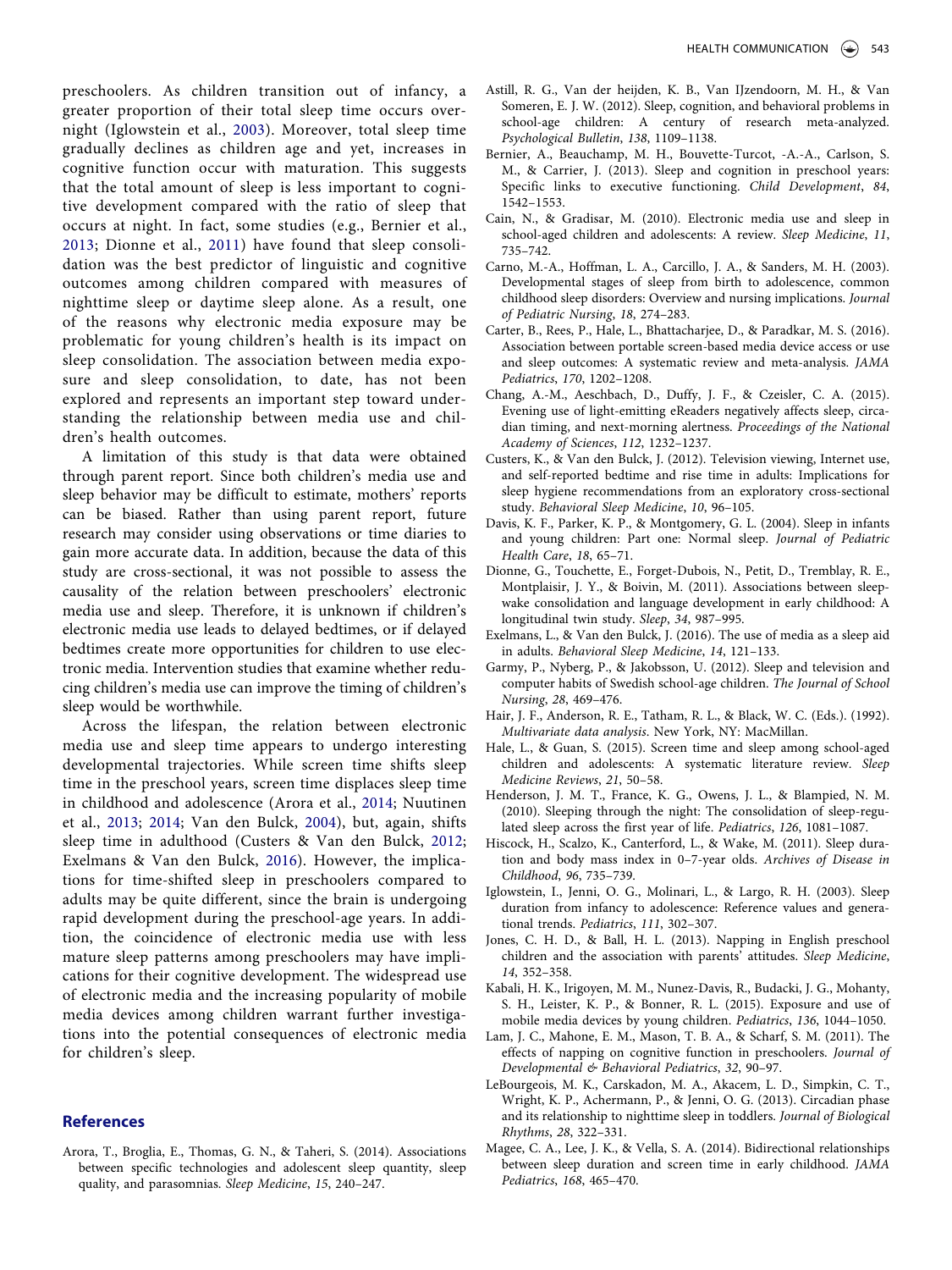preschoolers. As children transition out of infancy, a greater proportion of their total sleep time occurs overnight (Iglowstein et al., [2003](#page-7-12)). Moreover, total sleep time gradually declines as children age and yet, increases in cognitive function occur with maturation. This suggests that the total amount of sleep is less important to cognitive development compared with the ratio of sleep that occurs at night. In fact, some studies (e.g., Bernier et al., [2013](#page-7-13); Dionne et al., [2011](#page-7-17)) have found that sleep consolidation was the best predictor of linguistic and cognitive outcomes among children compared with measures of nighttime sleep or daytime sleep alone. As a result, one of the reasons why electronic media exposure may be problematic for young children's health is its impact on sleep consolidation. The association between media exposure and sleep consolidation, to date, has not been explored and represents an important step toward understanding the relationship between media use and children's health outcomes.

A limitation of this study is that data were obtained through parent report. Since both children's media use and sleep behavior may be difficult to estimate, mothers' reports can be biased. Rather than using parent report, future research may consider using observations or time diaries to gain more accurate data. In addition, because the data of this study are cross-sectional, it was not possible to assess the causality of the relation between preschoolers' electronic media use and sleep. Therefore, it is unknown if children's electronic media use leads to delayed bedtimes, or if delayed bedtimes create more opportunities for children to use electronic media. Intervention studies that examine whether reducing children's media use can improve the timing of children's sleep would be worthwhile.

Across the lifespan, the relation between electronic media use and sleep time appears to undergo interesting developmental trajectories. While screen time shifts sleep time in the preschool years, screen time displaces sleep time in childhood and adolescence (Arora et al., [2014](#page-7-6); Nuutinen et al., [2013](#page-8-7); [2014;](#page-8-2) Van den Bulck, [2004\)](#page-8-3), but, again, shifts sleep time in adulthood (Custers & Van den Bulck, [2012;](#page-7-11) Exelmans & Van den Bulck, [2016](#page-7-9)). However, the implications for time-shifted sleep in preschoolers compared to adults may be quite different, since the brain is undergoing rapid development during the preschool-age years. In addition, the coincidence of electronic media use with less mature sleep patterns among preschoolers may have implications for their cognitive development. The widespread use of electronic media and the increasing popularity of mobile media devices among children warrant further investigations into the potential consequences of electronic media for children's sleep.

#### References

<span id="page-7-6"></span>Arora, T., Broglia, E., Thomas, G. N., & Taheri, S. (2014). Associations between specific technologies and adolescent sleep quantity, sleep quality, and parasomnias. Sleep Medicine, 15, 240–247.

- <span id="page-7-2"></span>Astill, R. G., Van der heijden, K. B., Van IJzendoorn, M. H., & Van Someren, E. J. W. (2012). Sleep, cognition, and behavioral problems in school-age children: A century of research meta-analyzed. Psychological Bulletin, 138, 1109–1138.
- <span id="page-7-13"></span>Bernier, A., Beauchamp, M. H., Bouvette-Turcot, -A.-A., Carlson, S. M., & Carrier, J. (2013). Sleep and cognition in preschool years: Specific links to executive functioning. Child Development, 84, 1542–1553.
- <span id="page-7-3"></span>Cain, N., & Gradisar, M. (2010). Electronic media use and sleep in school-aged children and adolescents: A review. Sleep Medicine, 11, 735–742.
- <span id="page-7-0"></span>Carno, M.-A., Hoffman, L. A., Carcillo, J. A., & Sanders, M. H. (2003). Developmental stages of sleep from birth to adolescence, common childhood sleep disorders: Overview and nursing implications. Journal of Pediatric Nursing, 18, 274–283.
- <span id="page-7-4"></span>Carter, B., Rees, P., Hale, L., Bhattacharjee, D., & Paradkar, M. S. (2016). Association between portable screen-based media device access or use and sleep outcomes: A systematic review and meta-analysis. JAMA Pediatrics, 170, 1202–1208.
- <span id="page-7-10"></span>Chang, A.-M., Aeschbach, D., Duffy, J. F., & Czeisler, C. A. (2015). Evening use of light-emitting eReaders negatively affects sleep, circadian timing, and next-morning alertness. Proceedings of the National Academy of Sciences, 112, 1232–1237.
- <span id="page-7-11"></span>Custers, K., & Van den Bulck, J. (2012). Television viewing, Internet use, and self-reported bedtime and rise time in adults: Implications for sleep hygiene recommendations from an exploratory cross-sectional study. Behavioral Sleep Medicine, 10, 96–105.
- <span id="page-7-1"></span>Davis, K. F., Parker, K. P., & Montgomery, G. L. (2004). Sleep in infants and young children: Part one: Normal sleep. Journal of Pediatric Health Care, 18, 65–71.
- <span id="page-7-17"></span>Dionne, G., Touchette, E., Forget-Dubois, N., Petit, D., Tremblay, R. E., Montplaisir, J. Y., & Boivin, M. (2011). Associations between sleepwake consolidation and language development in early childhood: A longitudinal twin study. Sleep, 34, 987-995.
- <span id="page-7-9"></span>Exelmans, L., & Van den Bulck, J. (2016). The use of media as a sleep aid in adults. Behavioral Sleep Medicine, 14, 121–133.
- <span id="page-7-7"></span>Garmy, P., Nyberg, P., & Jakobsson, U. (2012). Sleep and television and computer habits of Swedish school-age children. The Journal of School Nursing, 28, 469–476.
- <span id="page-7-20"></span>Hair, J. F., Anderson, R. E., Tatham, R. L., & Black, W. C. (Eds.). (1992). Multivariate data analysis. New York, NY: MacMillan.
- <span id="page-7-5"></span>Hale, L., & Guan, S. (2015). Screen time and sleep among school-aged children and adolescents: A systematic literature review. Sleep Medicine Reviews, 21, 50–58.
- <span id="page-7-14"></span>Henderson, J. M. T., France, K. G., Owens, J. L., & Blampied, N. M. (2010). Sleeping through the night: The consolidation of sleep-regulated sleep across the first year of life. Pediatrics, 126, 1081–1087.
- <span id="page-7-15"></span>Hiscock, H., Scalzo, K., Canterford, L., & Wake, M. (2011). Sleep duration and body mass index in 0–7-year olds. Archives of Disease in Childhood, 96, 735–739.
- <span id="page-7-12"></span>Iglowstein, I., Jenni, O. G., Molinari, L., & Largo, R. H. (2003). Sleep duration from infancy to adolescence: Reference values and generational trends. Pediatrics, 111, 302–307.
- <span id="page-7-18"></span>Jones, C. H. D., & Ball, H. L. (2013). Napping in English preschool children and the association with parents' attitudes. Sleep Medicine, 14, 352–358.
- <span id="page-7-8"></span>Kabali, H. K., Irigoyen, M. M., Nunez-Davis, R., Budacki, J. G., Mohanty, S. H., Leister, K. P., & Bonner, R. L. (2015). Exposure and use of mobile media devices by young children. Pediatrics, 136, 1044–1050.
- <span id="page-7-16"></span>Lam, J. C., Mahone, E. M., Mason, T. B. A., & Scharf, S. M. (2011). The effects of napping on cognitive function in preschoolers. Journal of Developmental & Behavioral Pediatrics, 32, 90–97.
- <span id="page-7-21"></span>LeBourgeois, M. K., Carskadon, M. A., Akacem, L. D., Simpkin, C. T., Wright, K. P., Achermann, P., & Jenni, O. G. (2013). Circadian phase and its relationship to nighttime sleep in toddlers. Journal of Biological Rhythms, 28, 322–331.
- <span id="page-7-19"></span>Magee, C. A., Lee, J. K., & Vella, S. A. (2014). Bidirectional relationships between sleep duration and screen time in early childhood. JAMA Pediatrics, 168, 465–470.